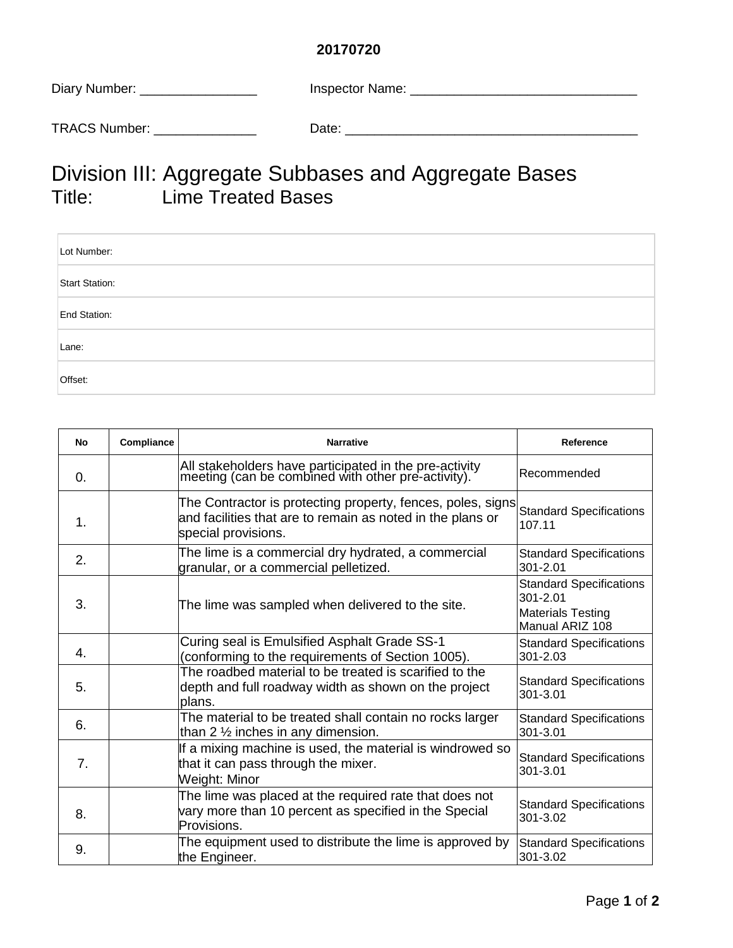## **20170720**

| Diary Number:        | Inspector Name: |
|----------------------|-----------------|
| <b>TRACS Number:</b> | Date:           |

## Division III: Aggregate Subbases and Aggregate Bases Title: Lime Treated Bases

| Lot Number:    |  |
|----------------|--|
| Start Station: |  |
| End Station:   |  |
| Lane:          |  |
| Offset:        |  |

| No         | Compliance | <b>Narrative</b>                                                                                                                                 | Reference                                                                                 |
|------------|------------|--------------------------------------------------------------------------------------------------------------------------------------------------|-------------------------------------------------------------------------------------------|
| $\Omega$ . |            | All stakeholders have participated in the pre-activity<br>meeting (can be combined with other pre-activity).                                     | Recommended                                                                               |
| 1.         |            | The Contractor is protecting property, fences, poles, signs<br>and facilities that are to remain as noted in the plans or<br>special provisions. | <b>Standard Specifications</b><br>107.11                                                  |
| 2.         |            | The lime is a commercial dry hydrated, a commercial<br>granular, or a commercial pelletized.                                                     | <b>Standard Specifications</b><br>301-2.01                                                |
| 3.         |            | The lime was sampled when delivered to the site.                                                                                                 | <b>Standard Specifications</b><br>301-2.01<br><b>Materials Testing</b><br>Manual ARIZ 108 |
| 4.         |            | Curing seal is Emulsified Asphalt Grade SS-1<br>(conforming to the requirements of Section 1005).                                                | <b>Standard Specifications</b><br>301-2.03                                                |
| 5.         |            | The roadbed material to be treated is scarified to the<br>depth and full roadway width as shown on the project<br>plans.                         | <b>Standard Specifications</b><br>301-3.01                                                |
| 6.         |            | The material to be treated shall contain no rocks larger<br>than 2 1/2 inches in any dimension.                                                  | <b>Standard Specifications</b><br>301-3.01                                                |
| 7.         |            | If a mixing machine is used, the material is windrowed so<br>that it can pass through the mixer.<br>Weight: Minor                                | <b>Standard Specifications</b><br>301-3.01                                                |
| 8.         |            | The lime was placed at the required rate that does not<br>vary more than 10 percent as specified in the Special<br>Provisions.                   | <b>Standard Specifications</b><br>301-3.02                                                |
| 9.         |            | The equipment used to distribute the lime is approved by<br>the Engineer.                                                                        | <b>Standard Specifications</b><br>301-3.02                                                |